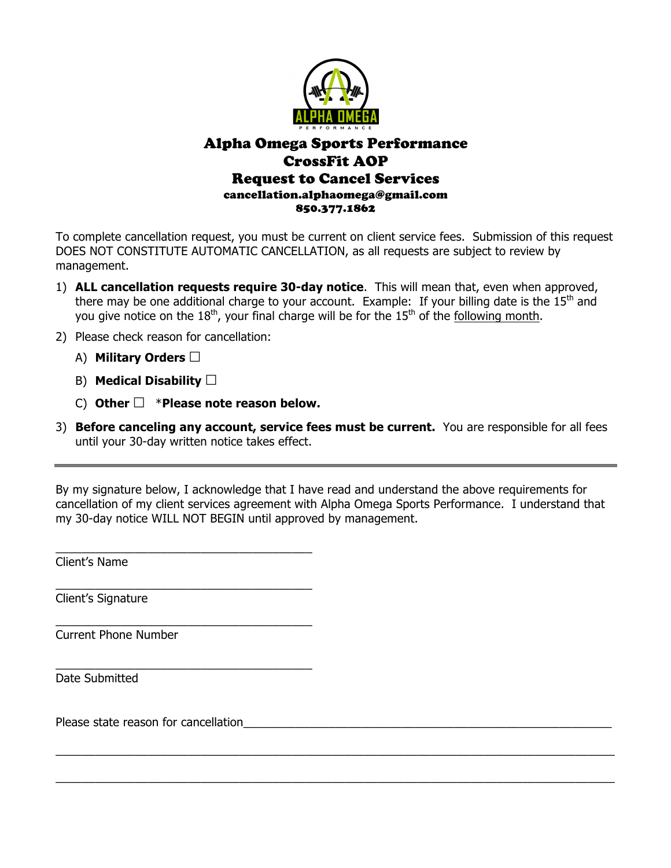

## Alpha Omega Sports Performance CrossFit AOP Request to Cancel Services cancellation.alphaomega@gmail.com 850.377.1862

To complete cancellation request, you must be current on client service fees. Submission of this request DOES NOT CONSTITUTE AUTOMATIC CANCELLATION, as all requests are subject to review by management.

- 1) **ALL cancellation requests require 30-day notice**. This will mean that, even when approved, there may be one additional charge to your account. Example: If your billing date is the  $15<sup>th</sup>$  and you give notice on the  $18<sup>th</sup>$ , your final charge will be for the  $15<sup>th</sup>$  of the following month.
- 2) Please check reason for cancellation:
	- A) **Military Orders** ☐
	- B) **Medical Disability** ☐
	- C) **Other** ☐\***Please note reason below.**

\_\_\_\_\_\_\_\_\_\_\_\_\_\_\_\_\_\_\_\_\_\_\_\_\_\_\_\_\_\_\_\_\_\_\_\_\_\_\_

\_\_\_\_\_\_\_\_\_\_\_\_\_\_\_\_\_\_\_\_\_\_\_\_\_\_\_\_\_\_\_\_\_\_\_\_\_\_\_

\_\_\_\_\_\_\_\_\_\_\_\_\_\_\_\_\_\_\_\_\_\_\_\_\_\_\_\_\_\_\_\_\_\_\_\_\_\_\_

\_\_\_\_\_\_\_\_\_\_\_\_\_\_\_\_\_\_\_\_\_\_\_\_\_\_\_\_\_\_\_\_\_\_\_\_\_\_\_

3) **Before canceling any account, service fees must be current.** You are responsible for all fees until your 30-day written notice takes effect.

By my signature below, I acknowledge that I have read and understand the above requirements for cancellation of my client services agreement with Alpha Omega Sports Performance. I understand that my 30-day notice WILL NOT BEGIN until approved by management.

\_\_\_\_\_\_\_\_\_\_\_\_\_\_\_\_\_\_\_\_\_\_\_\_\_\_\_\_\_\_\_\_\_\_\_\_\_\_\_\_\_\_\_\_\_\_\_\_\_\_\_\_\_\_\_\_\_\_\_\_\_\_\_\_\_\_\_\_\_\_\_\_\_\_\_\_\_\_\_\_\_\_\_\_\_

 $\_$  , and the set of the set of the set of the set of the set of the set of the set of the set of the set of the set of the set of the set of the set of the set of the set of the set of the set of the set of the set of th

Client's Name

Client's Signature

Current Phone Number

Date Submitted

Please state reason for cancellation